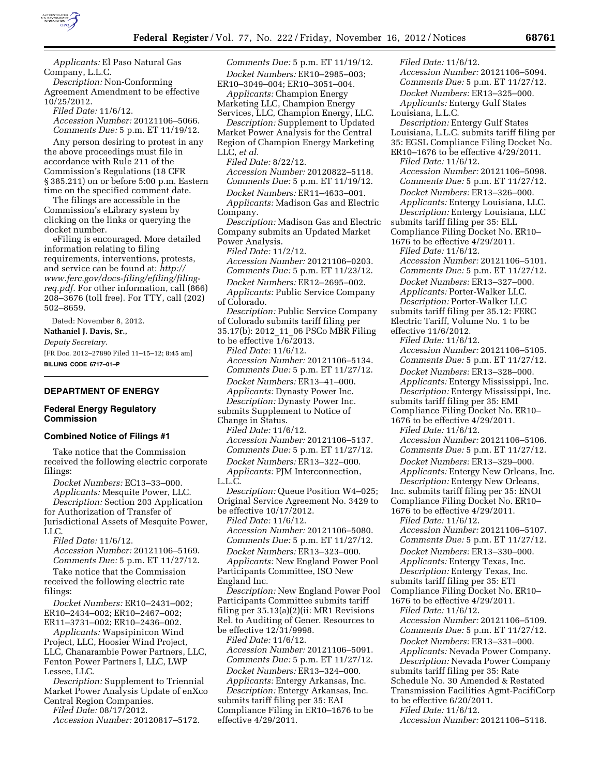

*Applicants:* El Paso Natural Gas Company, L.L.C.

*Description:* Non-Conforming Agreement Amendment to be effective 10/25/2012.

*Filed Date:* 11/6/12.

*Accession Number:* 20121106–5066. *Comments Due:* 5 p.m. ET 11/19/12.

Any person desiring to protest in any the above proceedings must file in accordance with Rule 211 of the Commission's Regulations (18 CFR § 385.211) on or before 5:00 p.m. Eastern time on the specified comment date.

The filings are accessible in the Commission's eLibrary system by clicking on the links or querying the docket number.

eFiling is encouraged. More detailed information relating to filing requirements, interventions, protests, and service can be found at: *[http://](http://www.ferc.gov/docs-filing/efiling/filing-req.pdf) [www.ferc.gov/docs-filing/efiling/filing](http://www.ferc.gov/docs-filing/efiling/filing-req.pdf)[req.pdf.](http://www.ferc.gov/docs-filing/efiling/filing-req.pdf)* For other information, call (866) 208–3676 (toll free). For TTY, call (202) 502–8659.

Dated: November 8, 2012.

**Nathaniel J. Davis, Sr.,**  *Deputy Secretary.* 

[FR Doc. 2012–27890 Filed 11–15–12; 8:45 am] **BILLING CODE 6717–01–P** 

# **DEPARTMENT OF ENERGY**

### **Federal Energy Regulatory Commission**

### **Combined Notice of Filings #1**

Take notice that the Commission received the following electric corporate filings:

*Docket Numbers:* EC13–33–000. *Applicants:* Mesquite Power, LLC.

*Description:* Section 203 Application for Authorization of Transfer of Jurisdictional Assets of Mesquite Power, LLC.

*Filed Date:* 11/6/12. *Accession Number:* 20121106–5169. *Comments Due:* 5 p.m. ET 11/27/12.

Take notice that the Commission received the following electric rate filings:

*Docket Numbers:* ER10–2431–002; ER10–2434–002; ER10–2467–002; ER11–3731–002; ER10–2436–002.

*Applicants:* Wapsipinicon Wind Project, LLC, Hoosier Wind Project, LLC, Chanarambie Power Partners, LLC, Fenton Power Partners I, LLC, LWP Lessee, LLC.

*Description:* Supplement to Triennial Market Power Analysis Update of enXco Central Region Companies.

*Filed Date:* 08/17/2012. *Accession Number:* 20120817–5172.

*Comments Due:* 5 p.m. ET 11/19/12. *Docket Numbers:* ER10–2985–003; ER10–3049–004; ER10–3051–004.

*Applicants:* Champion Energy Marketing LLC, Champion Energy Services, LLC, Champion Energy, LLC.

*Description:* Supplement to Updated Market Power Analysis for the Central Region of Champion Energy Marketing LLC, *et al.* 

*Filed Date:* 8/22/12.

*Accession Number:* 20120822–5118. *Comments Due:* 5 p.m. ET 11/19/12.

*Docket Numbers:* ER11–4633–001.

*Applicants:* Madison Gas and Electric Company.

*Description:* Madison Gas and Electric Company submits an Updated Market Power Analysis.

*Filed Date:* 11/2/12.

*Accession Number:* 20121106–0203. *Comments Due:* 5 p.m. ET 11/23/12.

*Docket Numbers:* ER12–2695–002.

*Applicants:* Public Service Company of Colorado.

*Description:* Public Service Company of Colorado submits tariff filing per 35.17(b): 2012\_11\_06 PSCo MBR Filing to be effective 1/6/2013. *Filed Date:* 11/6/12. *Accession Number:* 20121106–5134. *Comments Due:* 5 p.m. ET 11/27/12. *Docket Numbers:* ER13–41–000. *Applicants:* Dynasty Power Inc.

*Description:* Dynasty Power Inc.

submits Supplement to Notice of

Change in Status. *Filed Date:* 11/6/12.

*Accession Number:* 20121106–5137.

*Comments Due:* 5 p.m. ET 11/27/12. *Docket Numbers:* ER13–322–000.

*Applicants:* PJM Interconnection, L.L.C.

*Description:* Queue Position W4–025; Original Service Agreement No. 3429 to be effective 10/17/2012.

*Filed Date:* 11/6/12.

*Accession Number:* 20121106–5080. *Comments Due:* 5 p.m. ET 11/27/12. *Docket Numbers:* ER13–323–000. *Applicants:* New England Power Pool Participants Committee, ISO New England Inc.

*Description:* New England Power Pool Participants Committee submits tariff filing per 35.13(a)(2)(ii: MR1 Revisions Rel. to Auditing of Gener. Resources to be effective 12/31/9998.

*Filed Date:* 11/6/12. *Accession Number:* 20121106–5091. *Comments Due:* 5 p.m. ET 11/27/12.

*Docket Numbers:* ER13–324–000. *Applicants:* Entergy Arkansas, Inc. *Description:* Entergy Arkansas, Inc. submits tariff filing per 35: EAI Compliance Filing in ER10–1676 to be effective 4/29/2011.

*Accession Number:* 20121106–5094. *Comments Due:* 5 p.m. ET 11/27/12. *Docket Numbers:* ER13–325–000. *Applicants:* Entergy Gulf States Louisiana, L.L.C. *Description:* Entergy Gulf States Louisiana, L.L.C. submits tariff filing per 35: EGSL Compliance Filing Docket No. ER10–1676 to be effective 4/29/2011. *Filed Date:* 11/6/12. *Accession Number:* 20121106–5098. *Comments Due:* 5 p.m. ET 11/27/12. *Docket Numbers:* ER13–326–000. *Applicants:* Entergy Louisiana, LLC. *Description:* Entergy Louisiana, LLC submits tariff filing per 35: ELL Compliance Filing Docket No. ER10– 1676 to be effective 4/29/2011. *Filed Date:* 11/6/12. *Accession Number:* 20121106–5101. *Comments Due:* 5 p.m. ET 11/27/12. *Docket Numbers:* ER13–327–000. *Applicants:* Porter-Walker LLC. *Description:* Porter-Walker LLC submits tariff filing per 35.12: FERC Electric Tariff, Volume No. 1 to be effective 11/6/2012. *Filed Date:* 11/6/12. *Accession Number:* 20121106–5105. *Comments Due:* 5 p.m. ET 11/27/12. *Docket Numbers:* ER13–328–000. *Applicants:* Entergy Mississippi, Inc. *Description:* Entergy Mississippi, Inc. submits tariff filing per 35: EMI Compliance Filing Docket No. ER10– 1676 to be effective 4/29/2011. *Filed Date:* 11/6/12. *Accession Number:* 20121106–5106. *Comments Due:* 5 p.m. ET 11/27/12. *Docket Numbers:* ER13–329–000. *Applicants:* Entergy New Orleans, Inc. *Description:* Entergy New Orleans, Inc. submits tariff filing per 35: ENOI Compliance Filing Docket No. ER10– 1676 to be effective 4/29/2011. *Filed Date:* 11/6/12. *Accession Number:* 20121106–5107. *Comments Due:* 5 p.m. ET 11/27/12. *Docket Numbers:* ER13–330–000. *Applicants:* Entergy Texas, Inc. *Description:* Entergy Texas, Inc. submits tariff filing per 35: ETI Compliance Filing Docket No. ER10– 1676 to be effective 4/29/2011. *Filed Date:* 11/6/12. *Accession Number:* 20121106–5109. *Comments Due:* 5 p.m. ET 11/27/12. *Docket Numbers:* ER13–331–000. *Applicants:* Nevada Power Company. *Description:* Nevada Power Company submits tariff filing per 35: Rate Schedule No. 30 Amended & Restated Transmission Facilities Agmt-PacifiCorp

*Filed Date:* 11/6/12.

to be effective 6/20/2011.

*Filed Date:* 11/6/12.

*Accession Number:* 20121106–5118.